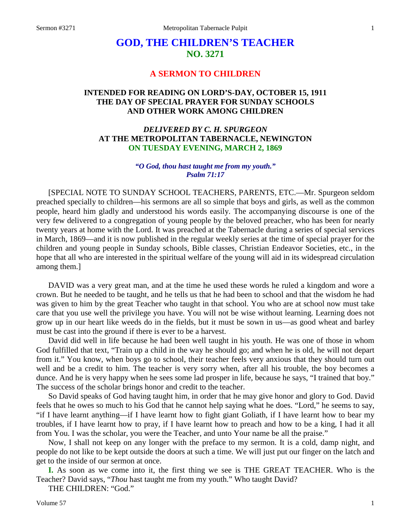# **GOD, THE CHILDREN'S TEACHER NO. 3271**

# **A SERMON TO CHILDREN**

# **INTENDED FOR READING ON LORD'S-DAY, OCTOBER 15, 1911 THE DAY OF SPECIAL PRAYER FOR SUNDAY SCHOOLS AND OTHER WORK AMONG CHILDREN**

## *DELIVERED BY C. H. SPURGEON* **AT THE METROPOLITAN TABERNACLE, NEWINGTON ON TUESDAY EVENING, MARCH 2, 1869**

## *"O God, thou hast taught me from my youth." Psalm 71:17*

[SPECIAL NOTE TO SUNDAY SCHOOL TEACHERS, PARENTS, ETC.—Mr. Spurgeon seldom preached specially to children—his sermons are all so simple that boys and girls, as well as the common people, heard him gladly and understood his words easily. The accompanying discourse is one of the very few delivered to a congregation of young people by the beloved preacher, who has been for nearly twenty years at home with the Lord. It was preached at the Tabernacle during a series of special services in March, 1869—and it is now published in the regular weekly series at the time of special prayer for the children and young people in Sunday schools, Bible classes, Christian Endeavor Societies, etc., in the hope that all who are interested in the spiritual welfare of the young will aid in its widespread circulation among them.]

DAVID was a very great man, and at the time he used these words he ruled a kingdom and wore a crown. But he needed to be taught, and he tells us that he had been to school and that the wisdom he had was given to him by the great Teacher who taught in that school. You who are at school now must take care that you use well the privilege you have. You will not be wise without learning. Learning does not grow up in our heart like weeds do in the fields, but it must be sown in us—as good wheat and barley must be cast into the ground if there is ever to be a harvest.

David did well in life because he had been well taught in his youth. He was one of those in whom God fulfilled that text, "Train up a child in the way he should go; and when he is old, he will not depart from it." You know, when boys go to school, their teacher feels very anxious that they should turn out well and be a credit to him. The teacher is very sorry when, after all his trouble, the boy becomes a dunce. And he is very happy when he sees some lad prosper in life, because he says, "I trained that boy." The success of the scholar brings honor and credit to the teacher.

So David speaks of God having taught him, in order that he may give honor and glory to God. David feels that he owes so much to his God that he cannot help saying what he does. "Lord," he seems to say, "if I have learnt anything—if I have learnt how to fight giant Goliath, if I have learnt how to bear my troubles, if I have learnt how to pray, if I have learnt how to preach and how to be a king, I had it all from You. I was the scholar, you were the Teacher, and unto Your name be all the praise."

Now, I shall not keep on any longer with the preface to my sermon. It is a cold, damp night, and people do not like to be kept outside the doors at such a time. We will just put our finger on the latch and get to the inside of our sermon at once.

**I.** As soon as we come into it, the first thing we see is THE GREAT TEACHER. Who is the Teacher? David says, "*Thou* hast taught me from my youth." Who taught David?

THE CHILDREN: "God."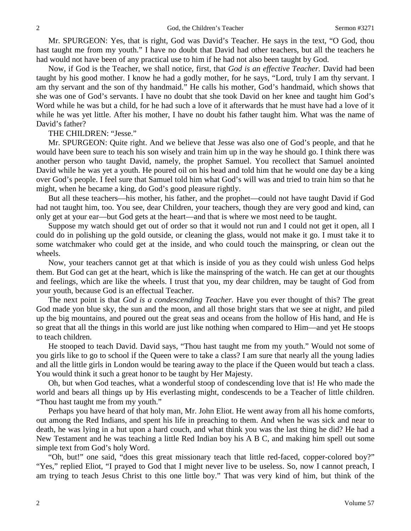Mr. SPURGEON: Yes, that is right, God was David's Teacher. He says in the text, "O God, thou hast taught me from my youth." I have no doubt that David had other teachers, but all the teachers he had would not have been of any practical use to him if he had not also been taught by God.

Now, if God is the Teacher, we shall notice, first, that *God is an effective Teacher.* David had been taught by his good mother. I know he had a godly mother, for he says, "Lord, truly I am thy servant. I am thy servant and the son of thy handmaid." He calls his mother, God's handmaid, which shows that she was one of God's servants. I have no doubt that she took David on her knee and taught him God's Word while he was but a child, for he had such a love of it afterwards that he must have had a love of it while he was yet little. After his mother, I have no doubt his father taught him. What was the name of David's father?

## THE CHILDREN: "Jesse."

Mr. SPURGEON: Quite right. And we believe that Jesse was also one of God's people, and that he would have been sure to teach his son wisely and train him up in the way he should go. I think there was another person who taught David, namely, the prophet Samuel. You recollect that Samuel anointed David while he was yet a youth. He poured oil on his head and told him that he would one day be a king over God's people. I feel sure that Samuel told him what God's will was and tried to train him so that he might, when he became a king, do God's good pleasure rightly.

But all these teachers—his mother, his father, and the prophet—could not have taught David if God had not taught him, too. You see, dear Children, your teachers, though they are very good and kind, can only get at your ear—but God gets at the heart—and that is where we most need to be taught.

Suppose my watch should get out of order so that it would not run and I could not get it open, all I could do in polishing up the gold outside, or cleaning the glass, would not make it go. I must take it to some watchmaker who could get at the inside, and who could touch the mainspring, or clean out the wheels.

Now, your teachers cannot get at that which is inside of you as they could wish unless God helps them. But God can get at the heart, which is like the mainspring of the watch. He can get at our thoughts and feelings, which are like the wheels. I trust that you, my dear children, may be taught of God from your youth, because God is an effectual Teacher.

The next point is that *God is a condescending Teacher.* Have you ever thought of this? The great God made yon blue sky, the sun and the moon, and all those bright stars that we see at night, and piled up the big mountains, and poured out the great seas and oceans from the hollow of His hand, and He is so great that all the things in this world are just like nothing when compared to Him—and yet He stoops to teach children.

He stooped to teach David. David says, "Thou hast taught me from my youth." Would not some of you girls like to go to school if the Queen were to take a class? I am sure that nearly all the young ladies and all the little girls in London would be tearing away to the place if the Queen would but teach a class. You would think it such a great honor to be taught by Her Majesty.

Oh, but when God teaches, what a wonderful stoop of condescending love that is! He who made the world and bears all things up by His everlasting might, condescends to be a Teacher of little children. "Thou hast taught me from my youth."

Perhaps you have heard of that holy man, Mr. John Eliot. He went away from all his home comforts, out among the Red Indians, and spent his life in preaching to them. And when he was sick and near to death, he was lying in a hut upon a hard couch, and what think you was the last thing he did? He had a New Testament and he was teaching a little Red Indian boy his A B C, and making him spell out some simple text from God's holy Word.

"Oh, but!" one said, "does this great missionary teach that little red-faced, copper-colored boy?" "Yes," replied Eliot, "I prayed to God that I might never live to be useless. So, now I cannot preach, I am trying to teach Jesus Christ to this one little boy." That was very kind of him, but think of the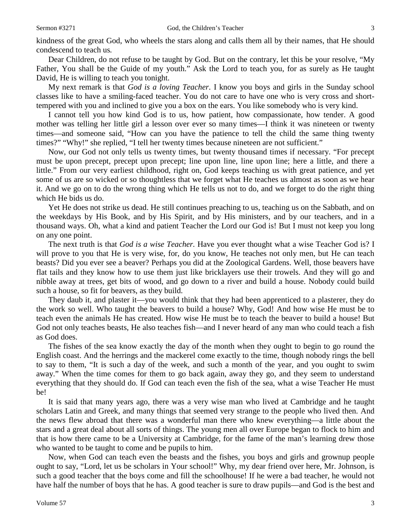kindness of the great God, who wheels the stars along and calls them all by their names, that He should condescend to teach us*.*

Dear Children, do not refuse to be taught by God. But on the contrary, let this be your resolve, "My Father, You shall be the Guide of my youth." Ask the Lord to teach you, for as surely as He taught David, He is willing to teach you tonight.

My next remark is that *God is a loving Teacher.* I know you boys and girls in the Sunday school classes like to have a smiling-faced teacher. You do not care to have one who is very cross and shorttempered with you and inclined to give you a box on the ears. You like somebody who is very kind.

I cannot tell you how kind God is to us, how patient, how compassionate, how tender. A good mother was telling her little girl a lesson over ever so many times—I think it was nineteen or twenty times—and someone said, "How can you have the patience to tell the child the same thing twenty times?" "Why!" she replied, "I tell her twenty times because nineteen are not sufficient."

Now, our God not only tells us twenty times, but twenty thousand times if necessary. "For precept must be upon precept, precept upon precept; line upon line, line upon line; here a little, and there a little." From our very earliest childhood, right on, God keeps teaching us with great patience, and yet some of us are so wicked or so thoughtless that we forget what He teaches us almost as soon as we hear it. And we go on to do the wrong thing which He tells us not to do, and we forget to do the right thing which He bids us do.

Yet He does not strike us dead. He still continues preaching to us, teaching us on the Sabbath, and on the weekdays by His Book, and by His Spirit, and by His ministers, and by our teachers, and in a thousand ways. Oh, what a kind and patient Teacher the Lord our God is! But I must not keep you long on any one point.

The next truth is that *God is a wise Teacher.* Have you ever thought what a wise Teacher God is? I will prove to you that He is very wise, for, do you know, He teaches not only men, but He can teach beasts? Did you ever see a beaver? Perhaps you did at the Zoological Gardens. Well, those beavers have flat tails and they know how to use them just like bricklayers use their trowels. And they will go and nibble away at trees, get bits of wood, and go down to a river and build a house. Nobody could build such a house, so fit for beavers, as they build.

They daub it, and plaster it—you would think that they had been apprenticed to a plasterer, they do the work so well. Who taught the beavers to build a house? Why, God! And how wise He must be to teach even the animals He has created. How wise He must be to teach the beaver to build a house! But God not only teaches beasts, He also teaches fish—and I never heard of any man who could teach a fish as God does.

The fishes of the sea know exactly the day of the month when they ought to begin to go round the English coast. And the herrings and the mackerel come exactly to the time, though nobody rings the bell to say to them, "It is such a day of the week, and such a month of the year, and you ought to swim away." When the time comes for them to go back again, away they go, and they seem to understand everything that they should do. If God can teach even the fish of the sea, what a wise Teacher He must be!

It is said that many years ago, there was a very wise man who lived at Cambridge and he taught scholars Latin and Greek, and many things that seemed very strange to the people who lived then. And the news flew abroad that there was a wonderful man there who knew everything—a little about the stars and a great deal about all sorts of things. The young men all over Europe began to flock to him and that is how there came to be a University at Cambridge, for the fame of the man's learning drew those who wanted to be taught to come and be pupils to him.

Now, when God can teach even the beasts and the fishes, you boys and girls and grownup people ought to say, "Lord, let us be scholars in Your school!" Why, my dear friend over here, Mr. Johnson, is such a good teacher that the boys come and fill the schoolhouse! If he were a bad teacher, he would not have half the number of boys that he has. A good teacher is sure to draw pupils—and God is the best and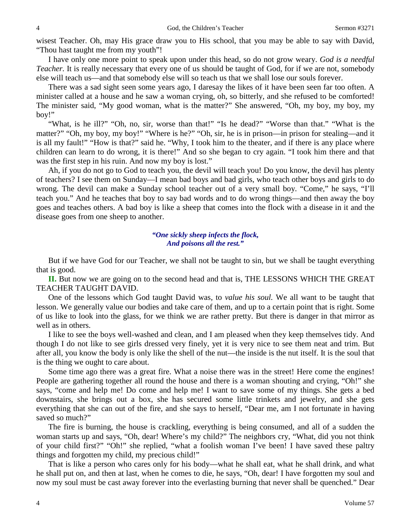wisest Teacher. Oh, may His grace draw you to His school, that you may be able to say with David, "Thou hast taught me from my youth"!

I have only one more point to speak upon under this head, so do not grow weary. *God is a needful Teacher.* It is really necessary that every one of us should be taught of God, for if we are not, somebody else will teach us—and that somebody else will so teach us that we shall lose our souls forever.

There was a sad sight seen some years ago, I daresay the likes of it have been seen far too often. A minister called at a house and he saw a woman crying, oh, so bitterly, and she refused to be comforted! The minister said, "My good woman, what is the matter?" She answered, "Oh, my boy, my boy, my boy!"

"What, is he ill?" "Oh, no, sir, worse than that!" "Is he dead?" "Worse than that." "What is the matter?" "Oh, my boy, my boy!" "Where is he?" "Oh, sir, he is in prison—in prison for stealing—and it is all my fault!" "How is that?" said he. "Why, I took him to the theater, and if there is any place where children can learn to do wrong, it is there!" And so she began to cry again. "I took him there and that was the first step in his ruin. And now my boy is lost."

Ah, if you do not go to God to teach you, the devil will teach you! Do you know, the devil has plenty of teachers? I see them on Sunday—I mean bad boys and bad girls, who teach other boys and girls to do wrong. The devil can make a Sunday school teacher out of a very small boy. "Come," he says, "I'll teach you." And he teaches that boy to say bad words and to do wrong things—and then away the boy goes and teaches others. A bad boy is like a sheep that comes into the flock with a disease in it and the disease goes from one sheep to another.

## *"One sickly sheep infects the flock, And poisons all the rest."*

But if we have God for our Teacher, we shall not be taught to sin, but we shall be taught everything that is good.

**II.** But now we are going on to the second head and that is, THE LESSONS WHICH THE GREAT TEACHER TAUGHT DAVID.

One of the lessons which God taught David was, to *value his soul.* We all want to be taught that lesson. We generally value our bodies and take care of them, and up to a certain point that is right. Some of us like to look into the glass, for we think we are rather pretty. But there is danger in that mirror as well as in others.

I like to see the boys well-washed and clean, and I am pleased when they keep themselves tidy. And though I do not like to see girls dressed very finely, yet it is very nice to see them neat and trim. But after all, you know the body is only like the shell of the nut—the inside is the nut itself. It is the soul that is the thing we ought to care about.

Some time ago there was a great fire. What a noise there was in the street! Here come the engines! People are gathering together all round the house and there is a woman shouting and crying, "Oh!" she says, "come and help me! Do come and help me! I want to save some of my things. She gets a bed downstairs, she brings out a box, she has secured some little trinkets and jewelry, and she gets everything that she can out of the fire, and she says to herself, "Dear me, am I not fortunate in having saved so much?"

The fire is burning, the house is crackling, everything is being consumed, and all of a sudden the woman starts up and says, "Oh, dear! Where's my child?" The neighbors cry, "What, did you not think of your child first?" "Oh!" she replied, "what a foolish woman I've been! I have saved these paltry things and forgotten my child, my precious child!"

That is like a person who cares only for his body—what he shall eat, what he shall drink, and what he shall put on, and then at last, when he comes to die, he says, "Oh, dear! I have forgotten my soul and now my soul must be cast away forever into the everlasting burning that never shall be quenched." Dear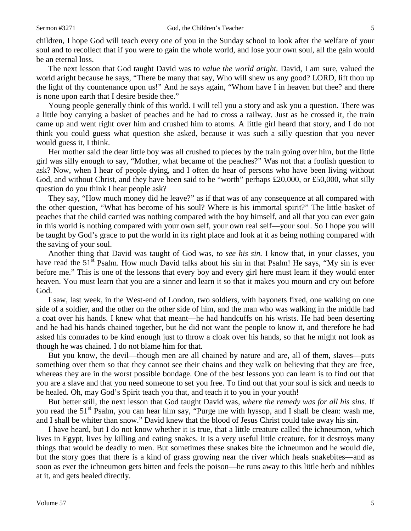children, I hope God will teach every one of you in the Sunday school to look after the welfare of your soul and to recollect that if you were to gain the whole world, and lose your own soul, all the gain would be an eternal loss.

The next lesson that God taught David was to *value the world aright.* David, I am sure, valued the world aright because he says, "There be many that say, Who will shew us any good? LORD, lift thou up the light of thy countenance upon us!" And he says again, "Whom have I in heaven but thee? and there is none upon earth that I desire beside thee."

Young people generally think of this world. I will tell you a story and ask you a question. There was a little boy carrying a basket of peaches and he had to cross a railway. Just as he crossed it, the train came up and went right over him and crushed him to atoms. A little girl heard that story, and I do not think you could guess what question she asked, because it was such a silly question that you never would guess it, I think.

Her mother said the dear little boy was all crushed to pieces by the train going over him, but the little girl was silly enough to say, "Mother, what became of the peaches?" Was not that a foolish question to ask? Now, when I hear of people dying, and I often do hear of persons who have been living without God, and without Christ, and they have been said to be "worth" perhaps £20,000, or £50,000, what silly question do you think I hear people ask?

They say, "How much money did he leave?" as if that was of any consequence at all compared with the other question, "What has become of his soul? Where is his immortal spirit?" The little basket of peaches that the child carried was nothing compared with the boy himself, and all that you can ever gain in this world is nothing compared with your own self, your own real self—your soul. So I hope you will be taught by God's grace to put the world in its right place and look at it as being nothing compared with the saving of your soul.

Another thing that David was taught of God was, *to see his sin.* I know that, in your classes, you have read the 51<sup>st</sup> Psalm. How much David talks about his sin in that Psalm! He says, "My sin is ever before me." This is one of the lessons that every boy and every girl here must learn if they would enter heaven. You must learn that you are a sinner and learn it so that it makes you mourn and cry out before God.

I saw, last week, in the West-end of London, two soldiers, with bayonets fixed, one walking on one side of a soldier, and the other on the other side of him, and the man who was walking in the middle had a coat over his hands. I knew what that meant—he had handcuffs on his wrists. He had been deserting and he had his hands chained together, but he did not want the people to know it, and therefore he had asked his comrades to be kind enough just to throw a cloak over his hands, so that he might not look as though he was chained. I do not blame him for that.

But you know, the devil—though men are all chained by nature and are, all of them, slaves—puts something over them so that they cannot see their chains and they walk on believing that they are free, whereas they are in the worst possible bondage. One of the best lessons you can learn is to find out that you are a slave and that you need someone to set you free. To find out that your soul is sick and needs to be healed. Oh, may God's Spirit teach you that, and teach it to you in your youth!

But better still, the next lesson that God taught David was, *where the remedy was for all his sins.* If you read the  $51<sup>st</sup>$  Psalm, you can hear him say, "Purge me with hyssop, and I shall be clean: wash me, and I shall be whiter than snow." David knew that the blood of Jesus Christ could take away his sin.

I have heard, but I do not know whether it is true, that a little creature called the ichneumon, which lives in Egypt, lives by killing and eating snakes. It is a very useful little creature, for it destroys many things that would be deadly to men. But sometimes these snakes bite the ichneumon and he would die, but the story goes that there is a kind of grass growing near the river which heals snakebites—and as soon as ever the ichneumon gets bitten and feels the poison—he runs away to this little herb and nibbles at it, and gets healed directly.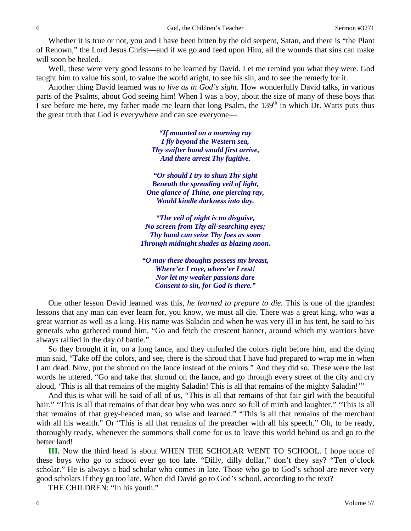Whether it is true or not, you and I have been bitten by the old serpent, Satan, and there is "the Plant of Renown," the Lord Jesus Christ—and if we go and feed upon Him, all the wounds that sins can make will soon be healed.

Well, these were very good lessons to be learned by David. Let me remind you what they were. God taught him to value his soul, to value the world aright, to see his sin, and to see the remedy for it.

Another thing David learned was *to live as in God's sight*. How wonderfully David talks, in various parts of the Psalms, about God seeing him! When I was a boy, about the size of many of these boys that I see before me here, my father made me learn that long Psalm, the  $139<sup>th</sup>$  in which Dr. Watts puts thus the great truth that God is everywhere and can see everyone—

> *"If mounted on a morning ray I fly beyond the Western sea, Thy swifter hand would first arrive, And there arrest Thy fugitive.*

*"Or should I try to shun Thy sight Beneath the spreading veil of light, One glance of Thine, one piercing ray, Would kindle darkness into day.*

*"The veil of night is no disguise, No screen from Thy all-searching eyes; Thy hand can seize Thy foes as soon Through midnight shades as blazing noon.*

*"O may these thoughts possess my breast, Where'er I rove, where'er I rest! Nor let my weaker passions dare Consent to sin, for God is there."*

One other lesson David learned was this, *he learned to prepare to die.* This is one of the grandest lessons that any man can ever learn for, you know, we must all die. There was a great king, who was a great warrior as well as a king. His name was Saladin and when he was very ill in his tent, he said to his generals who gathered round him, "Go and fetch the crescent banner, around which my warriors have always rallied in the day of battle."

So they brought it in, on a long lance, and they unfurled the colors right before him, and the dying man said, "Take off the colors, and see, there is the shroud that I have had prepared to wrap me in when I am dead. Now, put the shroud on the lance instead of the colors." And they did so. These were the last words he uttered, "Go and take that shroud on the lance, and go through every street of the city and cry aloud, 'This is all that remains of the mighty Saladin! This is all that remains of the mighty Saladin!'"

And this is what will be said of all of us, "This is all that remains of that fair girl with the beautiful hair." "This is all that remains of that dear boy who was once so full of mirth and laughter." "This is all that remains of that grey-headed man, so wise and learned." "This is all that remains of the merchant with all his wealth." Or "This is all that remains of the preacher with all his speech." Oh, to be ready, thoroughly ready, whenever the summons shall come for us to leave this world behind us and go to the better land!

**III.** Now the third head is about WHEN THE SCHOLAR WENT TO SCHOOL. I hope none of these boys who go to school ever go too late. "Dilly, dilly dollar," don't they say? "Ten o'clock scholar." He is always a bad scholar who comes in late. Those who go to God's school are never very good scholars if they go too late. When did David go to God's school, according to the text?

THE CHILDREN: "In his youth."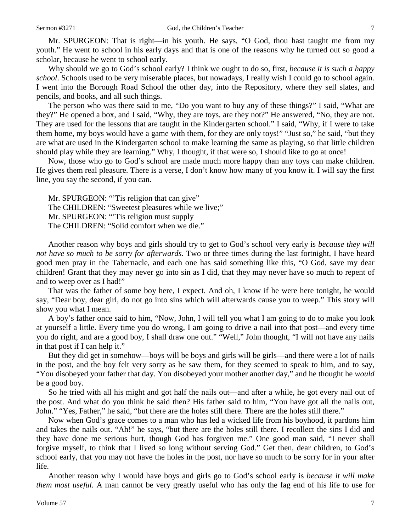Mr. SPURGEON: That is right—in his youth. He says, "O God, thou hast taught me from my youth." He went to school in his early days and that is one of the reasons why he turned out so good a scholar, because he went to school early.

Why should we go to God's school early? I think we ought to do so, first, *because it is such a happy school*. Schools used to be very miserable places, but nowadays, I really wish I could go to school again. I went into the Borough Road School the other day, into the Repository, where they sell slates, and pencils, and books, and all such things.

The person who was there said to me, "Do you want to buy any of these things?" I said, "What are they?" He opened a box, and I said, "Why, they are toys, are they not?" He answered, "No, they are not. They are used for the lessons that are taught in the Kindergarten school." I said, "Why, if I were to take them home, my boys would have a game with them, for they are only toys!" "Just so," he said, "but they are what are used in the Kindergarten school to make learning the same as playing, so that little children should play while they are learning." Why, I thought, if that were so, I should like to go at once!

Now, those who go to God's school are made much more happy than any toys can make children. He gives them real pleasure. There is a verse, I don't know how many of you know it. I will say the first line, you say the second, if you can.

Mr. SPURGEON: "'Tis religion that can give" The CHILDREN: "Sweetest pleasures while we live;" Mr. SPURGEON: "'Tis religion must supply The CHILDREN: "Solid comfort when we die."

Another reason why boys and girls should try to get to God's school very early is *because they will not have so much to be sorry for afterwards.* Two or three times during the last fortnight, I have heard good men pray in the Tabernacle, and each one has said something like this, "O God, save my dear children! Grant that they may never go into sin as I did, that they may never have so much to repent of and to weep over as I had!"

That was the father of some boy here, I expect. And oh, I know if he were here tonight, he would say, "Dear boy, dear girl, do not go into sins which will afterwards cause you to weep." This story will show you what I mean.

A boy's father once said to him, "Now, John, I will tell you what I am going to do to make you look at yourself a little. Every time you do wrong, I am going to drive a nail into that post—and every time you do right, and are a good boy, I shall draw one out." "Well," John thought, "I will not have any nails in that post if I can help it."

But they did get in somehow—boys will be boys and girls will be girls—and there were a lot of nails in the post, and the boy felt very sorry as he saw them, for they seemed to speak to him, and to say, "You disobeyed your father that day. You disobeyed your mother another day," and he thought he *would* be a good boy.

So he tried with all his might and got half the nails out—and after a while, he got every nail out of the post. And what do you think he said then? His father said to him, "You have got all the nails out, John." "Yes, Father," he said, "but there are the holes still there. There are the holes still there."

Now when God's grace comes to a man who has led a wicked life from his boyhood, it pardons him and takes the nails out. "Ah!" he says, "but there are the holes still there. I recollect the sins I did and they have done me serious hurt, though God has forgiven me." One good man said, "I never shall forgive myself, to think that I lived so long without serving God." Get then, dear children, to God's school early, that you may not have the holes in the post, nor have so much to be sorry for in your after life.

Another reason why I would have boys and girls go to God's school early is *because it will make them most useful.* A man cannot be very greatly useful who has only the fag end of his life to use for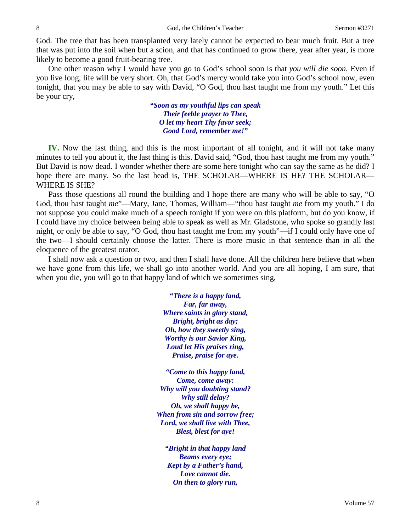God. The tree that has been transplanted very lately cannot be expected to bear much fruit. But a tree that was put into the soil when but a scion, and that has continued to grow there, year after year, is more likely to become a good fruit-bearing tree.

One other reason why I would have you go to God's school soon is that *you will die soon.* Even if you live long, life will be very short. Oh, that God's mercy would take you into God's school now, even tonight, that you may be able to say with David, "O God, thou hast taught me from my youth." Let this be your cry,

> *"Soon as my youthful lips can speak Their feeble prayer to Thee, O let my heart Thy favor seek; Good Lord, remember me!"*

**IV.** Now the last thing, and this is the most important of all tonight, and it will not take many minutes to tell you about it, the last thing is this. David said, "God, thou hast taught me from my youth." But David is now dead. I wonder whether there are some here tonight who can say the same as he did? I hope there are many. So the last head is, THE SCHOLAR—WHERE IS HE? THE SCHOLAR— WHERE IS SHE?

Pass those questions all round the building and I hope there are many who will be able to say, "O God, thou hast taught *me*"—Mary, Jane, Thomas, William—"thou hast taught *me* from my youth." I do not suppose you could make much of a speech tonight if you were on this platform, but do you know, if I could have my choice between being able to speak as well as Mr. Gladstone, who spoke so grandly last night, or only be able to say, "O God, thou hast taught me from my youth"—if I could only have one of the two—I should certainly choose the latter. There is more music in that sentence than in all the eloquence of the greatest orator.

I shall now ask a question or two, and then I shall have done. All the children here believe that when we have gone from this life, we shall go into another world. And you are all hoping, I am sure, that when you die, you will go to that happy land of which we sometimes sing,

> *"There is a happy land, Far, far away, Where saints in glory stand, Bright, bright as day; Oh, how they sweetly sing, Worthy is our Savior King, Loud let His praises ring, Praise, praise for aye.*

*"Come to this happy land, Come, come away: Why will you doubting stand? Why still delay? Oh, we shall happy be, When from sin and sorrow free; Lord, we shall live with Thee, Blest, blest for aye!*

*"Bright in that happy land Beams every eye; Kept by a Father's hand, Love cannot die. On then to glory run,*